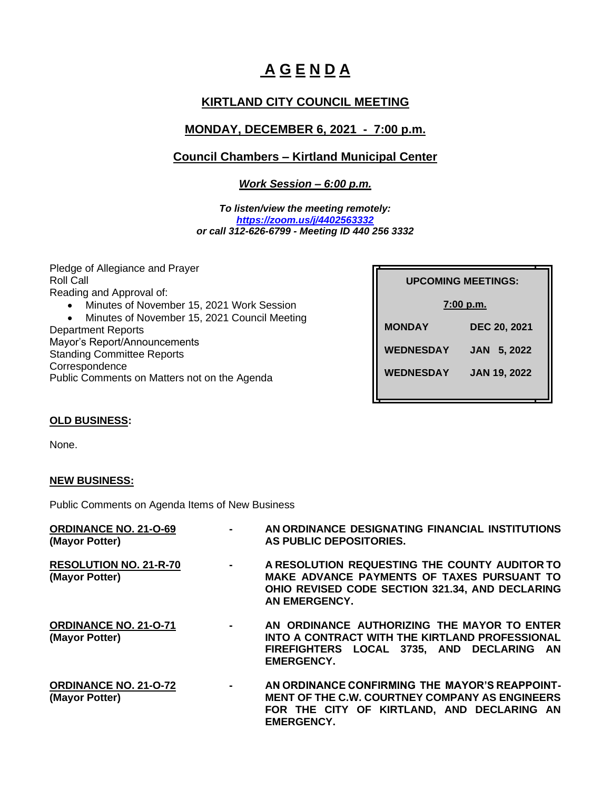# **A G E N D A**

# **KIRTLAND CITY COUNCIL MEETING**

# **MONDAY, DECEMBER 6, 2021 - 7:00 p.m.**

## **Council Chambers – Kirtland Municipal Center**

*Work Session – 6:00 p.m.*

*To listen/view the meeting remotely: <https://zoom.us/j/4402563332> or call 312-626-6799 - Meeting ID 440 256 3332*

Pledge of Allegiance and Prayer Roll Call Reading and Approval of: • Minutes of November 15, 2021 Work Session • Minutes of November 15, 2021 Council Meeting Department Reports Mayor's Report/Announcements Standing Committee Reports **Correspondence** 

Public Comments on Matters not on the Agenda

|                  | <b>UPCOMING MEETINGS:</b> |
|------------------|---------------------------|
|                  | 7:00 p.m.                 |
| <b>MONDAY</b>    | DEC 20, 2021              |
| <b>WEDNESDAY</b> | 5, 2022<br><b>JAN</b>     |
| <b>WEDNESDAY</b> | <b>JAN 19, 2022</b>       |
|                  |                           |

### **OLD BUSINESS:**

None.

### **NEW BUSINESS:**

Public Comments on Agenda Items of New Business

| <b>ORDINANCE NO. 21-O-69</b><br>(Mayor Potter)  | $\blacksquare$ | AN ORDINANCE DESIGNATING FINANCIAL INSTITUTIONS<br>AS PUBLIC DEPOSITORIES.                                                                                                 |
|-------------------------------------------------|----------------|----------------------------------------------------------------------------------------------------------------------------------------------------------------------------|
| <b>RESOLUTION NO. 21-R-70</b><br>(Mayor Potter) | $\mathbf{r}$   | A RESOLUTION REQUESTING THE COUNTY AUDITOR TO<br>MAKE ADVANCE PAYMENTS OF TAXES PURSUANT TO<br>OHIO REVISED CODE SECTION 321.34, AND DECLARING<br>AN EMERGENCY.            |
| <b>ORDINANCE NO. 21-0-71</b><br>(Mayor Potter)  | $\blacksquare$ | AN ORDINANCE AUTHORIZING THE MAYOR TO ENTER<br>INTO A CONTRACT WITH THE KIRTLAND PROFESSIONAL<br>FIREFIGHTERS LOCAL 3735, AND DECLARING AN<br><b>EMERGENCY.</b>            |
| <b>ORDINANCE NO. 21-O-72</b><br>(Mayor Potter)  | $\sim$         | AN ORDINANCE CONFIRMING THE MAYOR'S REAPPOINT-<br><b>MENT OF THE C.W. COURTNEY COMPANY AS ENGINEERS</b><br>FOR THE CITY OF KIRTLAND, AND DECLARING AN<br><b>EMERGENCY.</b> |